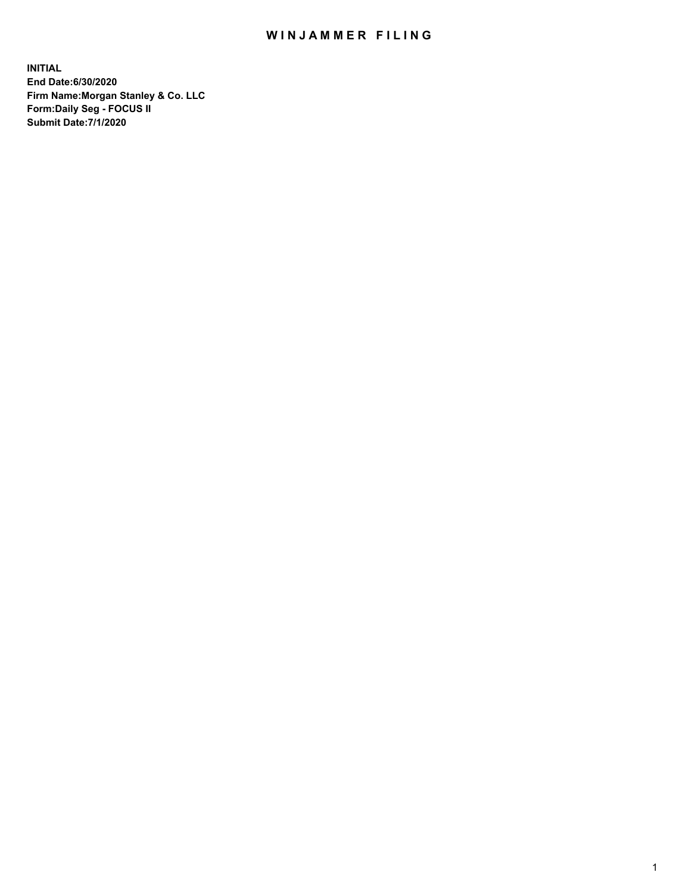## WIN JAMMER FILING

**INITIAL End Date:6/30/2020 Firm Name:Morgan Stanley & Co. LLC Form:Daily Seg - FOCUS II Submit Date:7/1/2020**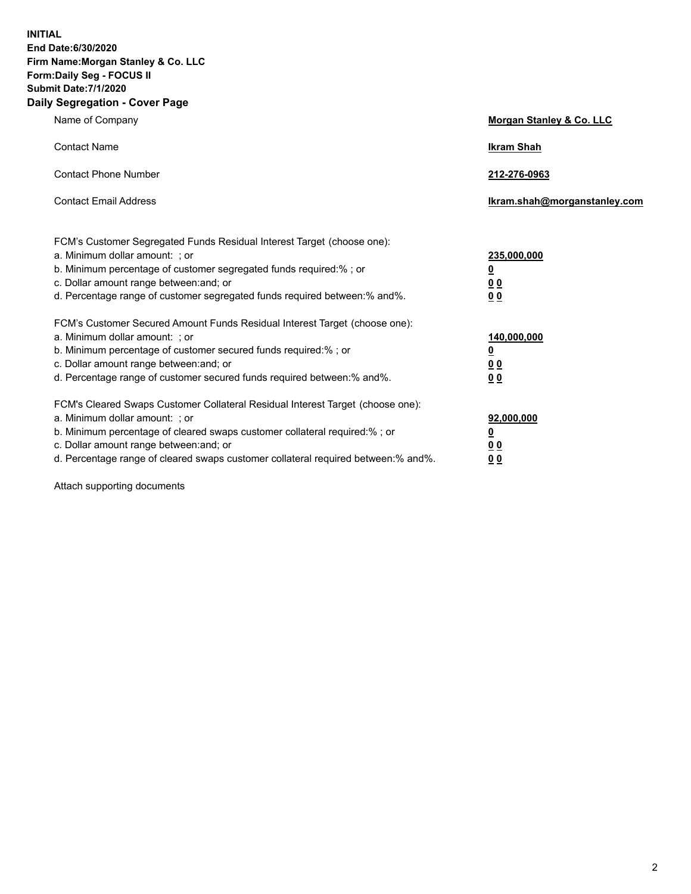**INITIAL End Date:6/30/2020 Firm Name:Morgan Stanley & Co. LLC Form:Daily Seg - FOCUS II Submit Date:7/1/2020 Daily Segregation - Cover Page**

| Name of Company                                                                                                                                                                                                                                                                                                                | Morgan Stanley & Co. LLC                               |
|--------------------------------------------------------------------------------------------------------------------------------------------------------------------------------------------------------------------------------------------------------------------------------------------------------------------------------|--------------------------------------------------------|
| <b>Contact Name</b>                                                                                                                                                                                                                                                                                                            | <b>Ikram Shah</b>                                      |
| <b>Contact Phone Number</b>                                                                                                                                                                                                                                                                                                    | 212-276-0963                                           |
| <b>Contact Email Address</b>                                                                                                                                                                                                                                                                                                   | Ikram.shah@morganstanley.com                           |
| FCM's Customer Segregated Funds Residual Interest Target (choose one):<br>a. Minimum dollar amount: ; or<br>b. Minimum percentage of customer segregated funds required:% ; or<br>c. Dollar amount range between: and; or<br>d. Percentage range of customer segregated funds required between:% and%.                         | 235,000,000<br><u>0</u><br><u>00</u><br>0 Q            |
| FCM's Customer Secured Amount Funds Residual Interest Target (choose one):<br>a. Minimum dollar amount: ; or<br>b. Minimum percentage of customer secured funds required:%; or<br>c. Dollar amount range between: and; or<br>d. Percentage range of customer secured funds required between:% and%.                            | 140,000,000<br><u>0</u><br><u>00</u><br>0 <sup>0</sup> |
| FCM's Cleared Swaps Customer Collateral Residual Interest Target (choose one):<br>a. Minimum dollar amount: ; or<br>b. Minimum percentage of cleared swaps customer collateral required:% ; or<br>c. Dollar amount range between: and; or<br>d. Percentage range of cleared swaps customer collateral required between:% and%. | 92,000,000<br><u>0</u><br>00<br>00                     |

Attach supporting documents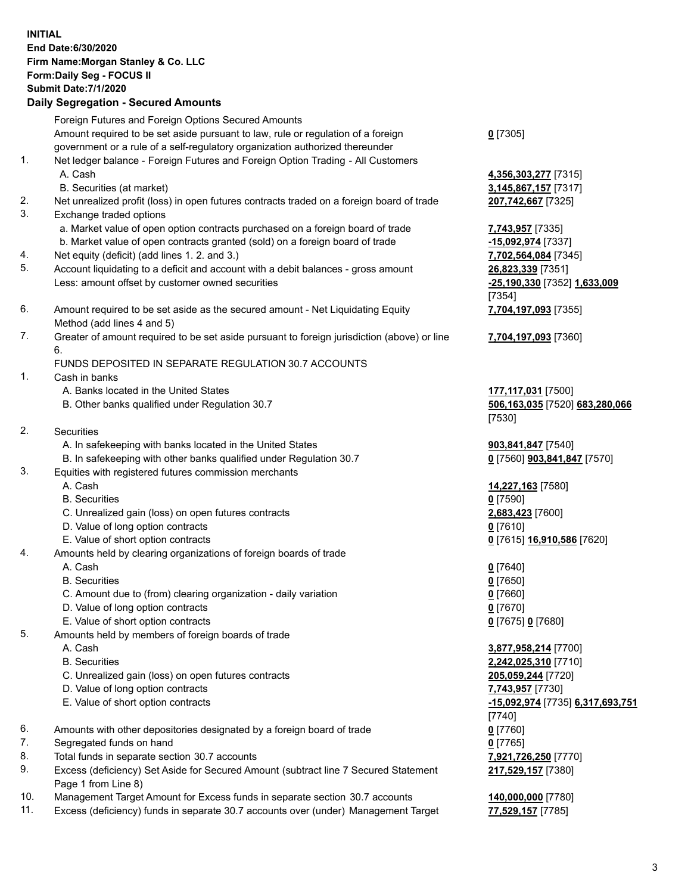| <b>INITIAL</b> | End Date: 6/30/2020<br>Firm Name: Morgan Stanley & Co. LLC<br>Form: Daily Seg - FOCUS II<br><b>Submit Date: 7/1/2020</b><br><b>Daily Segregation - Secured Amounts</b> |                                                     |
|----------------|------------------------------------------------------------------------------------------------------------------------------------------------------------------------|-----------------------------------------------------|
|                | Foreign Futures and Foreign Options Secured Amounts<br>Amount required to be set aside pursuant to law, rule or regulation of a foreign                                |                                                     |
|                | government or a rule of a self-regulatory organization authorized thereunder                                                                                           | $0$ [7305]                                          |
| 1.             | Net ledger balance - Foreign Futures and Foreign Option Trading - All Customers<br>A. Cash                                                                             | 4,356,303,277 [7315]                                |
| 2.             | B. Securities (at market)                                                                                                                                              | 3,145,867,157 [7317]                                |
| 3.             | Net unrealized profit (loss) in open futures contracts traded on a foreign board of trade<br>Exchange traded options                                                   | 207,742,667 [7325]                                  |
|                | a. Market value of open option contracts purchased on a foreign board of trade                                                                                         | 7,743,957 [7335]                                    |
|                | b. Market value of open contracts granted (sold) on a foreign board of trade                                                                                           | -15,092,974 [7337]                                  |
| 4.<br>5.       | Net equity (deficit) (add lines 1.2. and 3.)<br>Account liquidating to a deficit and account with a debit balances - gross amount                                      | 7,702,564,084 [7345]<br>26,823,339 [7351]           |
|                | Less: amount offset by customer owned securities                                                                                                                       | -25,190,330 [7352] 1,633,009                        |
|                |                                                                                                                                                                        | [7354]                                              |
| 6.             | Amount required to be set aside as the secured amount - Net Liquidating Equity<br>Method (add lines 4 and 5)                                                           | 7,704,197,093 [7355]                                |
| 7.             | Greater of amount required to be set aside pursuant to foreign jurisdiction (above) or line<br>6.                                                                      | 7,704,197,093 [7360]                                |
|                | FUNDS DEPOSITED IN SEPARATE REGULATION 30.7 ACCOUNTS                                                                                                                   |                                                     |
| 1.             | Cash in banks                                                                                                                                                          |                                                     |
|                | A. Banks located in the United States                                                                                                                                  | 177,117,031 [7500]                                  |
|                | B. Other banks qualified under Regulation 30.7                                                                                                                         | 506,163,035 [7520] 683,280,066<br>[7530]            |
| 2.             | Securities                                                                                                                                                             |                                                     |
|                | A. In safekeeping with banks located in the United States                                                                                                              | 903,841,847 [7540]                                  |
|                | B. In safekeeping with other banks qualified under Regulation 30.7                                                                                                     | 0 [7560] 903,841,847 [7570]                         |
| 3.             | Equities with registered futures commission merchants                                                                                                                  |                                                     |
|                | A. Cash<br><b>B.</b> Securities                                                                                                                                        | 14,227,163 [7580]                                   |
|                | C. Unrealized gain (loss) on open futures contracts                                                                                                                    | $0$ [7590]<br>2,683,423 [7600]                      |
|                | D. Value of long option contracts                                                                                                                                      | $0$ [7610]                                          |
|                | E. Value of short option contracts                                                                                                                                     | <u>0</u> [7615] <u>16,910,586</u> [7620]            |
| 4.             | Amounts held by clearing organizations of foreign boards of trade                                                                                                      |                                                     |
|                | A. Cash                                                                                                                                                                | $0$ [7640]                                          |
|                | <b>B.</b> Securities                                                                                                                                                   | $0$ [7650]                                          |
|                | C. Amount due to (from) clearing organization - daily variation                                                                                                        | $0$ [7660]                                          |
|                | D. Value of long option contracts                                                                                                                                      | $0$ [7670]                                          |
| 5.             | E. Value of short option contracts                                                                                                                                     | $0$ [7675] 0 [7680]                                 |
|                | Amounts held by members of foreign boards of trade<br>A. Cash                                                                                                          | 3,877,958,214 [7700]                                |
|                | <b>B.</b> Securities                                                                                                                                                   | 2,242,025,310 [7710]                                |
|                | C. Unrealized gain (loss) on open futures contracts                                                                                                                    | 205,059,244 [7720]                                  |
|                | D. Value of long option contracts                                                                                                                                      | 7,743,957 [7730]                                    |
|                | E. Value of short option contracts                                                                                                                                     | <u>-15,092,974</u> [7735] 6,317,693,751<br>$[7740]$ |
| 6.             | Amounts with other depositories designated by a foreign board of trade                                                                                                 | $0$ [7760]                                          |
| 7.             | Segregated funds on hand                                                                                                                                               | $0$ [7765]                                          |
| 8.             | Total funds in separate section 30.7 accounts                                                                                                                          | 7,921,726,250 [7770]                                |
| 9.             | Excess (deficiency) Set Aside for Secured Amount (subtract line 7 Secured Statement<br>Page 1 from Line 8)                                                             | 217,529,157 [7380]                                  |
| 10.            | Management Target Amount for Excess funds in separate section 30.7 accounts                                                                                            | 140,000,000 [7780]                                  |
| 11.            | Excess (deficiency) funds in separate 30.7 accounts over (under) Management Target                                                                                     | 77,529,157 [7785]                                   |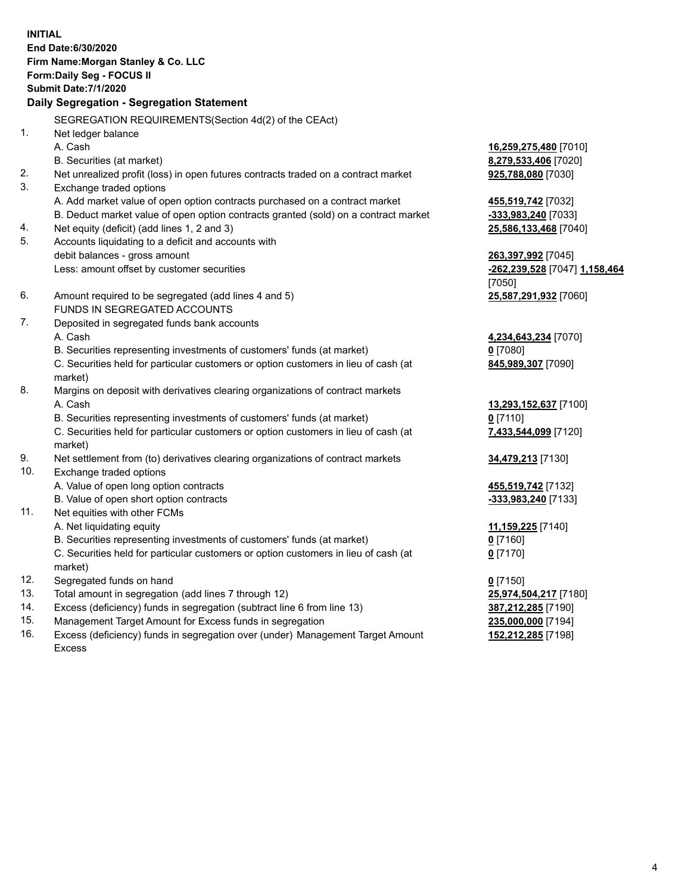**INITIAL End Date:6/30/2020 Firm Name:Morgan Stanley & Co. LLC Form:Daily Seg - FOCUS II Submit Date:7/1/2020 Daily Segregation - Segregation Statement** SEGREGATION REQUIREMENTS(Section 4d(2) of the CEAct) 1. Net ledger balance A. Cash **16,259,275,480** [7010] B. Securities (at market) **8,279,533,406** [7020] 2. Net unrealized profit (loss) in open futures contracts traded on a contract market **925,788,080** [7030] 3. Exchange traded options A. Add market value of open option contracts purchased on a contract market **455,519,742** [7032] B. Deduct market value of open option contracts granted (sold) on a contract market **-333,983,240** [7033] 4. Net equity (deficit) (add lines 1, 2 and 3) **25,586,133,468** [7040] 5. Accounts liquidating to a deficit and accounts with debit balances - gross amount **263,397,992** [7045] Less: amount offset by customer securities **-262,239,528** [7047] **1,158,464** [7050] 6. Amount required to be segregated (add lines 4 and 5) **25,587,291,932** [7060] FUNDS IN SEGREGATED ACCOUNTS 7. Deposited in segregated funds bank accounts A. Cash **4,234,643,234** [7070] B. Securities representing investments of customers' funds (at market) **0** [7080] C. Securities held for particular customers or option customers in lieu of cash (at market) **845,989,307** [7090] 8. Margins on deposit with derivatives clearing organizations of contract markets A. Cash **13,293,152,637** [7100] B. Securities representing investments of customers' funds (at market) **0** [7110] C. Securities held for particular customers or option customers in lieu of cash (at market) **7,433,544,099** [7120] 9. Net settlement from (to) derivatives clearing organizations of contract markets **34,479,213** [7130] 10. Exchange traded options A. Value of open long option contracts **455,519,742** [7132] B. Value of open short option contracts **and the set of open short option contracts -333,983,240** [7133] 11. Net equities with other FCMs A. Net liquidating equity **11,159,225** [7140] B. Securities representing investments of customers' funds (at market) **0** [7160] C. Securities held for particular customers or option customers in lieu of cash (at market) **0** [7170] 12. Segregated funds on hand **0** [7150] 13. Total amount in segregation (add lines 7 through 12) **25,974,504,217** [7180] 14. Excess (deficiency) funds in segregation (subtract line 6 from line 13) **387,212,285** [7190] 15. Management Target Amount for Excess funds in segregation **235,000,000** [7194] **152,212,285** [7198]

16. Excess (deficiency) funds in segregation over (under) Management Target Amount Excess